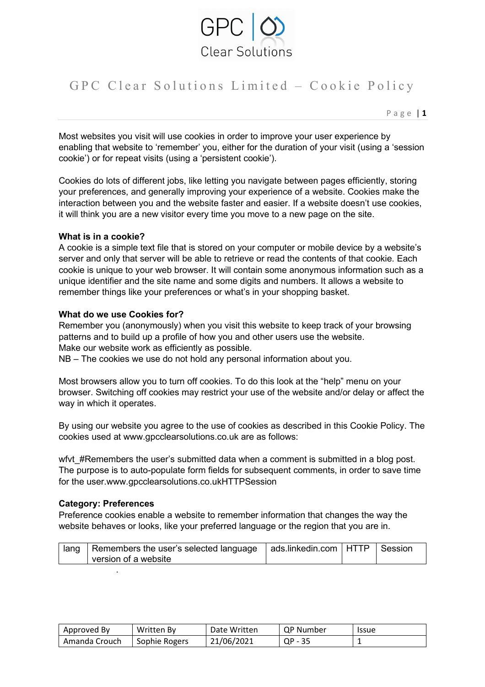

P a g e | **1**

Most websites you visit will use cookies in order to improve your user experience by enabling that website to 'remember' you, either for the duration of your visit (using a 'session cookie') or for repeat visits (using a 'persistent cookie').

Cookies do lots of different jobs, like letting you navigate between pages efficiently, storing your preferences, and generally improving your experience of a website. Cookies make the interaction between you and the website faster and easier. If a website doesn't use cookies, it will think you are a new visitor every time you move to a new page on the site.

#### **What is in a cookie?**

A cookie is a simple text file that is stored on your computer or mobile device by a website's server and only that server will be able to retrieve or read the contents of that cookie. Each cookie is unique to your web browser. It will contain some anonymous information such as a unique identifier and the site name and some digits and numbers. It allows a website to remember things like your preferences or what's in your shopping basket.

#### **What do we use Cookies for?**

Remember you (anonymously) when you visit this website to keep track of your browsing patterns and to build up a profile of how you and other users use the website. Make our website work as efficiently as possible.

NB – The cookies we use do not hold any personal information about you.

Most browsers allow you to turn off cookies. To do this look at the "help" menu on your browser. Switching off cookies may restrict your use of the website and/or delay or affect the way in which it operates.

By using our website you agree to the use of cookies as described in this Cookie Policy. The cookies used at www.gpcclearsolutions.co.uk are as follows:

wfvt #Remembers the user's submitted data when a comment is submitted in a blog post. The purpose is to auto-populate form fields for subsequent comments, in order to save time for the user.www.gpcclearsolutions.co.ukHTTPSession

#### **Category: Preferences**

.

Preference cookies enable a website to remember information that changes the way the website behaves or looks, like your preferred language or the region that you are in.

| lang   Remembers the user's selected language | ads.linkedin.com   HTTP   Session |  |
|-----------------------------------------------|-----------------------------------|--|
| version of a website                          |                                   |  |

| Approved By   | Written By    | Date Written | <b>QP Number</b> | <b>Issue</b> |
|---------------|---------------|--------------|------------------|--------------|
| Amanda Crouch | Sophie Rogers | 21/06/2021   | $QP -$           |              |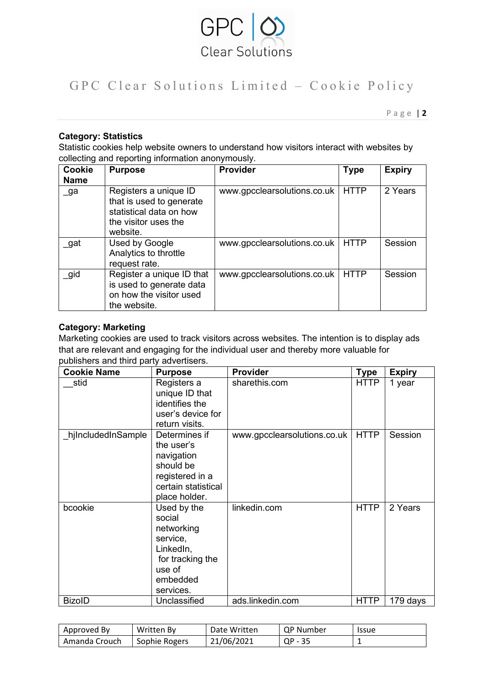

#### **Category: Statistics**

Statistic cookies help website owners to understand how visitors interact with websites by collecting and reporting information anonymously.

| <b>Cookie</b><br><b>Name</b> | <b>Purpose</b>                                                                                                   | Provider                    | <b>Type</b> | <b>Expiry</b> |
|------------------------------|------------------------------------------------------------------------------------------------------------------|-----------------------------|-------------|---------------|
| ga                           | Registers a unique ID<br>that is used to generate<br>statistical data on how<br>the visitor uses the<br>website. | www.gpcclearsolutions.co.uk | <b>HTTP</b> | 2 Years       |
| gat                          | Used by Google<br>Analytics to throttle<br>request rate.                                                         | www.gpcclearsolutions.co.uk | <b>HTTP</b> | Session       |
| $\_$ gid                     | Register a unique ID that<br>is used to generate data<br>on how the visitor used<br>the website.                 | www.gpcclearsolutions.co.uk | l http      | Session       |

#### **Category: Marketing**

Marketing cookies are used to track visitors across websites. The intention is to display ads that are relevant and engaging for the individual user and thereby more valuable for publishers and third party advertisers.

| <b>Cookie Name</b> | <b>Purpose</b>                                                                                                      | Provider                    | <b>Type</b> | <b>Expiry</b> |
|--------------------|---------------------------------------------------------------------------------------------------------------------|-----------------------------|-------------|---------------|
| stid               | Registers a<br>unique ID that<br>identifies the<br>user's device for                                                | sharethis.com               | <b>HTTP</b> | 1 year        |
|                    | return visits.                                                                                                      |                             |             |               |
| hjIncludedInSample | Determines if<br>the user's<br>navigation<br>should be<br>registered in a<br>certain statistical<br>place holder.   | www.gpcclearsolutions.co.uk | <b>HTTP</b> | Session       |
| bcookie            | Used by the<br>social<br>networking<br>service,<br>LinkedIn,<br>for tracking the<br>use of<br>embedded<br>services. | linkedin.com                | <b>HTTP</b> | 2 Years       |
| <b>BizoID</b>      | Unclassified                                                                                                        | ads.linkedin.com            | <b>HTTP</b> | 179 days      |

| Approved By   | Written By    | Date Written | <b>QP Number</b> | Issue |
|---------------|---------------|--------------|------------------|-------|
| Amanda Crouch | Sophie Rogers | 21/06/2021   | QP - 35          |       |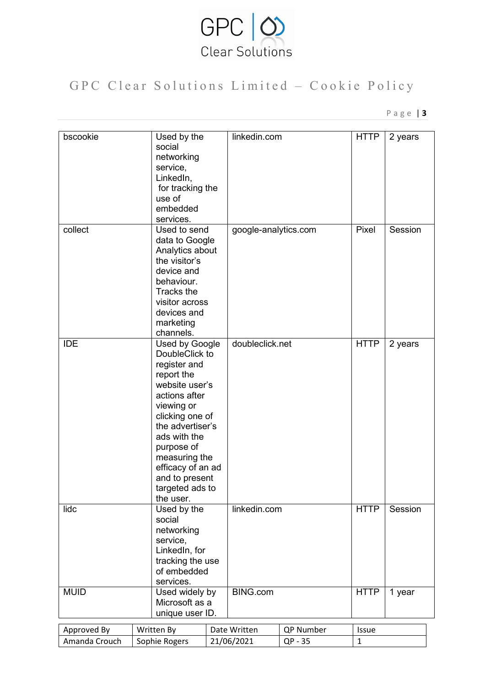

P a g e | **3**

| bscookie      | social<br>service,<br>LinkedIn,<br>use of<br>services. | Used by the<br>networking<br>for tracking the<br>embedded                                                                                                                                                                           | linkedin.com         |           | <b>HTTP</b> | 2 years |
|---------------|--------------------------------------------------------|-------------------------------------------------------------------------------------------------------------------------------------------------------------------------------------------------------------------------------------|----------------------|-----------|-------------|---------|
| collect       | marketing<br>channels.                                 | Used to send<br>data to Google<br>Analytics about<br>the visitor's<br>device and<br>behaviour.<br>Tracks the<br>visitor across<br>devices and                                                                                       | google-analytics.com |           | Pixel       | Session |
| <b>IDE</b>    | report the<br>viewing or<br>the user.                  | Used by Google<br>DoubleClick to<br>register and<br>website user's<br>actions after<br>clicking one of<br>the advertiser's<br>ads with the<br>purpose of<br>measuring the<br>efficacy of an ad<br>and to present<br>targeted ads to | doubleclick.net      |           | <b>HTTP</b> | 2 years |
| lidc          | social<br>service,<br>services.                        | Used by the<br>networking<br>LinkedIn, for<br>tracking the use<br>of embedded                                                                                                                                                       | linkedin.com         |           | <b>HTTP</b> | Session |
| <b>MUID</b>   |                                                        | Used widely by<br>Microsoft as a<br>unique user ID.                                                                                                                                                                                 | <b>BING.com</b>      |           | <b>HTTP</b> | 1 year  |
| Approved By   | Written By                                             |                                                                                                                                                                                                                                     | Date Written         | QP Number | Issue       |         |
| Amanda Crouch | Sophie Rogers                                          |                                                                                                                                                                                                                                     | 21/06/2021           | QP - 35   | 1           |         |
|               |                                                        |                                                                                                                                                                                                                                     |                      |           |             |         |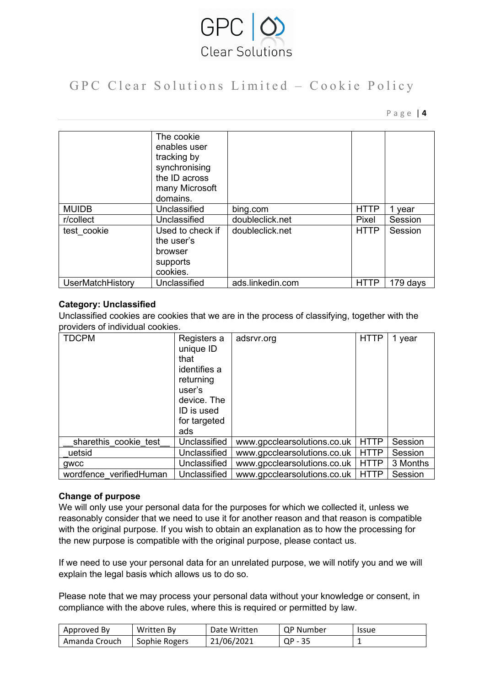

#### P a g e | **4**

|                         | The cookie<br>enables user<br>tracking by<br>synchronising<br>the ID across<br>many Microsoft<br>domains. |                  |             |          |
|-------------------------|-----------------------------------------------------------------------------------------------------------|------------------|-------------|----------|
| <b>MUIDB</b>            | Unclassified                                                                                              | bing.com         | <b>HTTP</b> | year     |
| r/collect               | Unclassified                                                                                              | doubleclick.net  | Pixel       | Session  |
| test cookie             | Used to check if<br>the user's<br>browser<br>supports<br>cookies.                                         | doubleclick.net  | <b>HTTP</b> | Session  |
| <b>UserMatchHistory</b> | Unclassified                                                                                              | ads.linkedin.com | <b>HTTP</b> | 179 days |

#### **Category: Unclassified**

Unclassified cookies are cookies that we are in the process of classifying, together with the providers of individual cookies.

| <b>TDCPM</b>            | Registers a<br>unique ID<br>that<br>identifies a<br>returning<br>user's<br>device. The<br>ID is used<br>for targeted<br>ads | adsrvr.org                  | <b>HTTP</b> | 1 year   |
|-------------------------|-----------------------------------------------------------------------------------------------------------------------------|-----------------------------|-------------|----------|
| sharethis cookie test   | Unclassified                                                                                                                | www.gpcclearsolutions.co.uk | <b>HTTP</b> | Session  |
| uetsid                  | Unclassified                                                                                                                | www.gpcclearsolutions.co.uk | <b>HTTP</b> | Session  |
| gwcc                    | Unclassified                                                                                                                | www.gpcclearsolutions.co.uk | <b>HTTP</b> | 3 Months |
| wordfence verifiedHuman | Unclassified                                                                                                                | www.gpcclearsolutions.co.uk | <b>HTTP</b> | Session  |

#### **Change of purpose**

We will only use your personal data for the purposes for which we collected it, unless we reasonably consider that we need to use it for another reason and that reason is compatible with the original purpose. If you wish to obtain an explanation as to how the processing for the new purpose is compatible with the original purpose, please contact us.

If we need to use your personal data for an unrelated purpose, we will notify you and we will explain the legal basis which allows us to do so.

Please note that we may process your personal data without your knowledge or consent, in compliance with the above rules, where this is required or permitted by law.

| Approved By   | <b>Written By</b> | Date Written | <b>QP Number</b> | Issue |
|---------------|-------------------|--------------|------------------|-------|
| Amanda Crouch | Sophie Rogers     | 21/06/2021   | QP -<br>35       |       |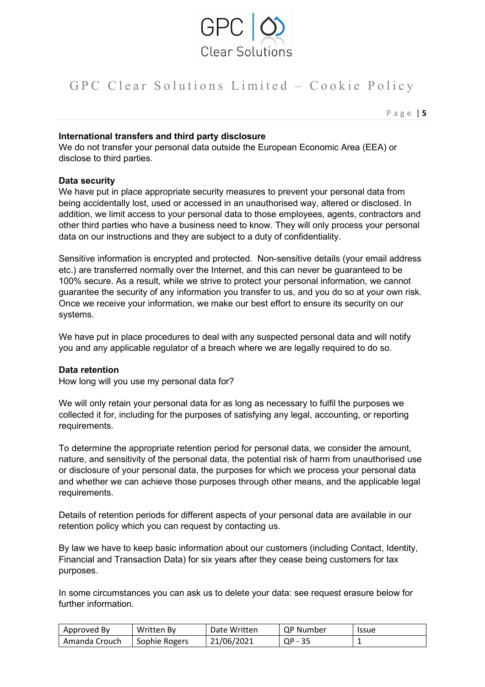

P a g e | **5**

#### **International transfers and third party disclosure**

We do not transfer your personal data outside the European Economic Area (EEA) or disclose to third parties.

#### **Data security**

We have put in place appropriate security measures to prevent your personal data from being accidentally lost, used or accessed in an unauthorised way, altered or disclosed. In addition, we limit access to your personal data to those employees, agents, contractors and other third parties who have a business need to know. They will only process your personal data on our instructions and they are subject to a duty of confidentiality.

Sensitive information is encrypted and protected. Non-sensitive details (your email address etc.) are transferred normally over the Internet, and this can never be guaranteed to be 100% secure. As a result, while we strive to protect your personal information, we cannot guarantee the security of any information you transfer to us, and you do so at your own risk. Once we receive your information, we make our best effort to ensure its security on our systems.

We have put in place procedures to deal with any suspected personal data and will notify you and any applicable regulator of a breach where we are legally required to do so.

#### **Data retention**

How long will you use my personal data for?

We will only retain your personal data for as long as necessary to fulfil the purposes we collected it for, including for the purposes of satisfying any legal, accounting, or reporting requirements.

To determine the appropriate retention period for personal data, we consider the amount, nature, and sensitivity of the personal data, the potential risk of harm from unauthorised use or disclosure of your personal data, the purposes for which we process your personal data and whether we can achieve those purposes through other means, and the applicable legal requirements.

Details of retention periods for different aspects of your personal data are available in our retention policy which you can request by contacting us.

By law we have to keep basic information about our customers (including Contact, Identity, Financial and Transaction Data) for six years after they cease being customers for tax purposes.

In some circumstances you can ask us to delete your data: see request erasure below for further information.

| Approved By   | <b>Written By</b> | Date Written | <b>QP Number</b> | <b>Issue</b> |
|---------------|-------------------|--------------|------------------|--------------|
| Amanda Crouch | Sophie Rogers     | 21/06/2021   | QP - 35          |              |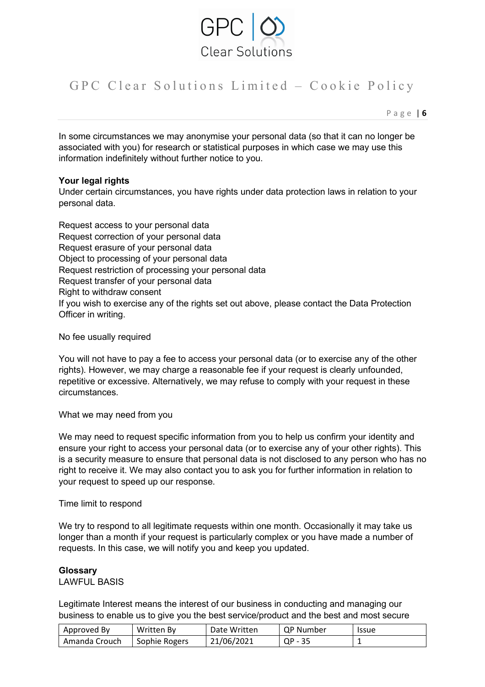

P a g e | **6**

In some circumstances we may anonymise your personal data (so that it can no longer be associated with you) for research or statistical purposes in which case we may use this information indefinitely without further notice to you.

#### **Your legal rights**

Under certain circumstances, you have rights under data protection laws in relation to your personal data.

Request access to your personal data Request correction of your personal data Request erasure of your personal data Object to processing of your personal data Request restriction of processing your personal data Request transfer of your personal data Right to withdraw consent If you wish to exercise any of the rights set out above, please contact the Data Protection Officer in writing.

No fee usually required

You will not have to pay a fee to access your personal data (or to exercise any of the other rights). However, we may charge a reasonable fee if your request is clearly unfounded, repetitive or excessive. Alternatively, we may refuse to comply with your request in these circumstances.

#### What we may need from you

We may need to request specific information from you to help us confirm your identity and ensure your right to access your personal data (or to exercise any of your other rights). This is a security measure to ensure that personal data is not disclosed to any person who has no right to receive it. We may also contact you to ask you for further information in relation to your request to speed up our response.

#### Time limit to respond

We try to respond to all legitimate requests within one month. Occasionally it may take us longer than a month if your request is particularly complex or you have made a number of requests. In this case, we will notify you and keep you updated.

#### **Glossary**

#### LAWFUL BASIS

Legitimate Interest means the interest of our business in conducting and managing our business to enable us to give you the best service/product and the best and most secure

| Approved By   | Written By    | Date Written | <b>QP Number</b> | <b>Issue</b> |
|---------------|---------------|--------------|------------------|--------------|
| Amanda Crouch | Sophie Rogers | 21/06/2021   | QP - 35          |              |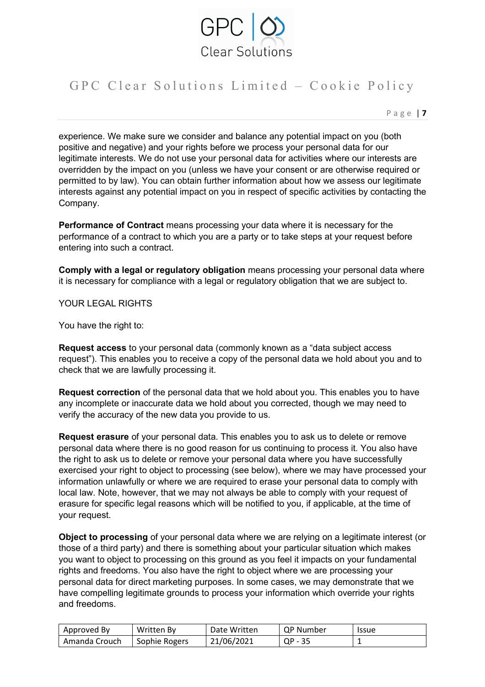

P a g e | **7**

experience. We make sure we consider and balance any potential impact on you (both positive and negative) and your rights before we process your personal data for our legitimate interests. We do not use your personal data for activities where our interests are overridden by the impact on you (unless we have your consent or are otherwise required or permitted to by law). You can obtain further information about how we assess our legitimate interests against any potential impact on you in respect of specific activities by contacting the Company.

**Performance of Contract** means processing your data where it is necessary for the performance of a contract to which you are a party or to take steps at your request before entering into such a contract.

**Comply with a legal or regulatory obligation** means processing your personal data where it is necessary for compliance with a legal or regulatory obligation that we are subject to.

YOUR LEGAL RIGHTS

You have the right to:

**Request access** to your personal data (commonly known as a "data subject access request"). This enables you to receive a copy of the personal data we hold about you and to check that we are lawfully processing it.

**Request correction** of the personal data that we hold about you. This enables you to have any incomplete or inaccurate data we hold about you corrected, though we may need to verify the accuracy of the new data you provide to us.

**Request erasure** of your personal data. This enables you to ask us to delete or remove personal data where there is no good reason for us continuing to process it. You also have the right to ask us to delete or remove your personal data where you have successfully exercised your right to object to processing (see below), where we may have processed your information unlawfully or where we are required to erase your personal data to comply with local law. Note, however, that we may not always be able to comply with your request of erasure for specific legal reasons which will be notified to you, if applicable, at the time of your request.

**Object to processing** of your personal data where we are relying on a legitimate interest (or those of a third party) and there is something about your particular situation which makes you want to object to processing on this ground as you feel it impacts on your fundamental rights and freedoms. You also have the right to object where we are processing your personal data for direct marketing purposes. In some cases, we may demonstrate that we have compelling legitimate grounds to process your information which override your rights and freedoms.

| Approved By   | Written By    | Date Written | <b>QP Number</b> | Issue |
|---------------|---------------|--------------|------------------|-------|
| Amanda Crouch | Sophie Rogers | 21/06/2021   | QP - 35          |       |